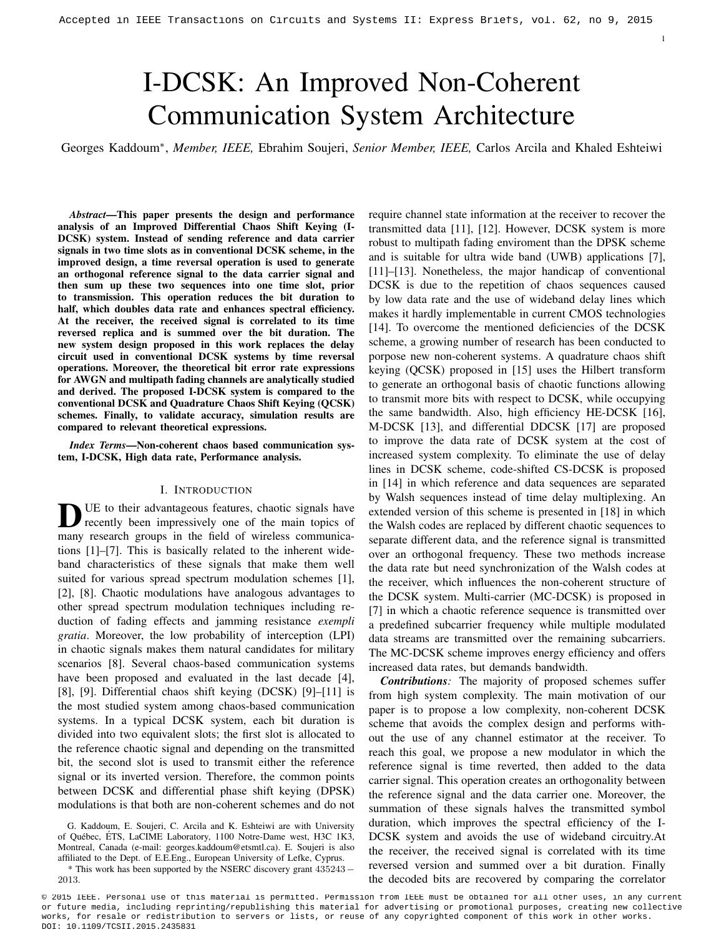# I-DCSK: An Improved Non-Coherent Communication System Architecture

Georges Kaddoum<sup>∗</sup> , *Member, IEEE,* Ebrahim Soujeri, *Senior Member, IEEE,* Carlos Arcila and Khaled Eshteiwi

*Abstract*—This paper presents the design and performance analysis of an Improved Differential Chaos Shift Keying (I-DCSK) system. Instead of sending reference and data carrier signals in two time slots as in conventional DCSK scheme, in the improved design, a time reversal operation is used to generate an orthogonal reference signal to the data carrier signal and then sum up these two sequences into one time slot, prior to transmission. This operation reduces the bit duration to half, which doubles data rate and enhances spectral efficiency. At the receiver, the received signal is correlated to its time reversed replica and is summed over the bit duration. The new system design proposed in this work replaces the delay circuit used in conventional DCSK systems by time reversal operations. Moreover, the theoretical bit error rate expressions for AWGN and multipath fading channels are analytically studied and derived. The proposed I-DCSK system is compared to the conventional DCSK and Quadrature Chaos Shift Keying (QCSK) schemes. Finally, to validate accuracy, simulation results are compared to relevant theoretical expressions.

*Index Terms*—Non-coherent chaos based communication system, I-DCSK, High data rate, Performance analysis.

#### I. INTRODUCTION

DUE to their advantageous features, chaotic signals have<br>recently been impressively one of the main topics of<br>many research groups in the field of wireless communica-UE to their advantageous features, chaotic signals have recently been impressively one of the main topics of tions [1]–[7]. This is basically related to the inherent wideband characteristics of these signals that make them well suited for various spread spectrum modulation schemes [1], [2], [8]. Chaotic modulations have analogous advantages to other spread spectrum modulation techniques including reduction of fading effects and jamming resistance *exempli gratia*. Moreover, the low probability of interception (LPI) in chaotic signals makes them natural candidates for military scenarios [8]. Several chaos-based communication systems have been proposed and evaluated in the last decade [4], [8], [9]. Differential chaos shift keying (DCSK) [9]–[11] is the most studied system among chaos-based communication systems. In a typical DCSK system, each bit duration is divided into two equivalent slots; the first slot is allocated to the reference chaotic signal and depending on the transmitted bit, the second slot is used to transmit either the reference signal or its inverted version. Therefore, the common points between DCSK and differential phase shift keying (DPSK) modulations is that both are non-coherent schemes and do not

G. Kaddoum, E. Soujeri, C. Arcila and K. Eshteiwi are with University of Québec, ÉTS, LaCIME Laboratory, 1100 Notre-Dame west, H3C 1K3, Montreal, Canada (e-mail: georges.kaddoum@etsmtl.ca). E. Soujeri is also affiliated to the Dept. of E.E.Eng., European University of Lefke, Cyprus.

\* This work has been supported by the NSERC discovery grant 435243 − 2013.

require channel state information at the receiver to recover the transmitted data [11], [12]. However, DCSK system is more robust to multipath fading enviroment than the DPSK scheme and is suitable for ultra wide band (UWB) applications [7], [11]–[13]. Nonetheless, the major handicap of conventional DCSK is due to the repetition of chaos sequences caused by low data rate and the use of wideband delay lines which makes it hardly implementable in current CMOS technologies [14]. To overcome the mentioned deficiencies of the DCSK scheme, a growing number of research has been conducted to porpose new non-coherent systems. A quadrature chaos shift keying (QCSK) proposed in [15] uses the Hilbert transform to generate an orthogonal basis of chaotic functions allowing to transmit more bits with respect to DCSK, while occupying the same bandwidth. Also, high efficiency HE-DCSK [16], M-DCSK [13], and differential DDCSK [17] are proposed to improve the data rate of DCSK system at the cost of increased system complexity. To eliminate the use of delay lines in DCSK scheme, code-shifted CS-DCSK is proposed in [14] in which reference and data sequences are separated by Walsh sequences instead of time delay multiplexing. An extended version of this scheme is presented in [18] in which the Walsh codes are replaced by different chaotic sequences to separate different data, and the reference signal is transmitted over an orthogonal frequency. These two methods increase the data rate but need synchronization of the Walsh codes at the receiver, which influences the non-coherent structure of the DCSK system. Multi-carrier (MC-DCSK) is proposed in [7] in which a chaotic reference sequence is transmitted over a predefined subcarrier frequency while multiple modulated data streams are transmitted over the remaining subcarriers. The MC-DCSK scheme improves energy efficiency and offers increased data rates, but demands bandwidth. Accepted in Altim Control on Circuit and Estate and Estate and Estate and Transactions Control on Transactions Control on Transactions and Transactions Control on Circuits and Systems II: Express British and Systems Briti

1

*Contributions:* The majority of proposed schemes suffer from high system complexity. The main motivation of our paper is to propose a low complexity, non-coherent DCSK scheme that avoids the complex design and performs without the use of any channel estimator at the receiver. To reach this goal, we propose a new modulator in which the reference signal is time reverted, then added to the data carrier signal. This operation creates an orthogonality between the reference signal and the data carrier one. Moreover, the summation of these signals halves the transmitted symbol duration, which improves the spectral efficiency of the I-DCSK system and avoids the use of wideband circuitry.At the receiver, the received signal is correlated with its time reversed version and summed over a bit duration. Finally the decoded bits are recovered by comparing the correlator

© 2015 IEEE. Personal use of this material is permitted. Permission from IEEE must be obtained for all other uses, in any current or future media, including reprinting/republishing this material for advertising or promotional purposes, creating new collective works, for resale or redistribution to servers or lists, or reuse of any copyrighted component of this work in other works.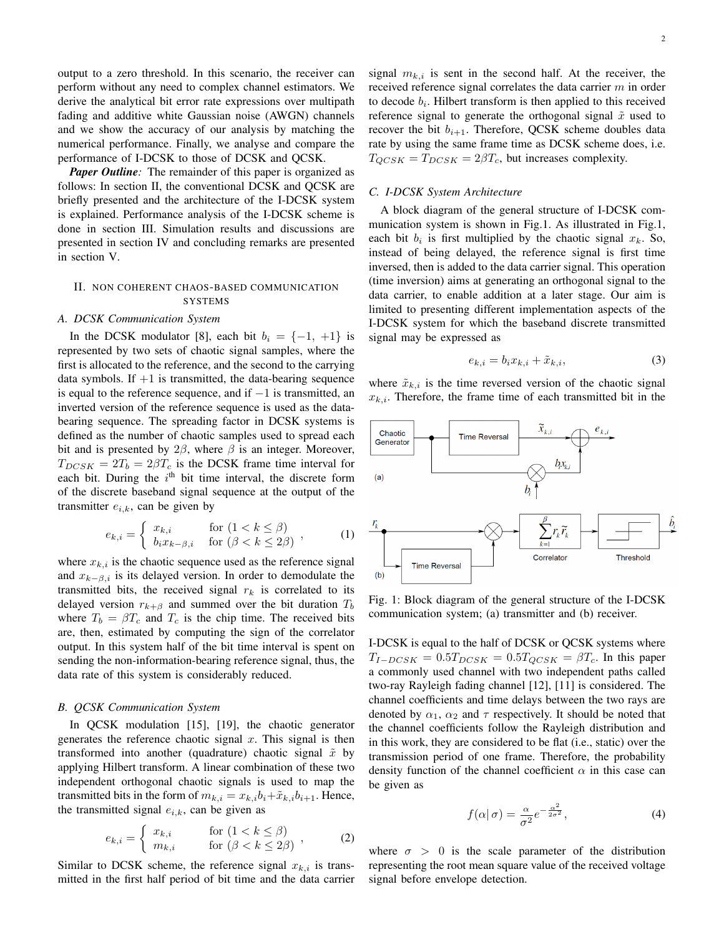output to a zero threshold. In this scenario, the receiver can perform without any need to complex channel estimators. We derive the analytical bit error rate expressions over multipath fading and additive white Gaussian noise (AWGN) channels and we show the accuracy of our analysis by matching the numerical performance. Finally, we analyse and compare the performance of I-DCSK to those of DCSK and QCSK.

*Paper Outline*: The remainder of this paper is organized as follows: In section II, the conventional DCSK and QCSK are briefly presented and the architecture of the I-DCSK system is explained. Performance analysis of the I-DCSK scheme is done in section III. Simulation results and discussions are presented in section IV and concluding remarks are presented in section V.

# II. NON COHERENT CHAOS-BASED COMMUNICATION **SYSTEMS**

# *A. DCSK Communication System*

In the DCSK modulator [8], each bit  $b_i = \{-1, +1\}$  is represented by two sets of chaotic signal samples, where the first is allocated to the reference, and the second to the carrying data symbols. If  $+1$  is transmitted, the data-bearing sequence is equal to the reference sequence, and if  $-1$  is transmitted, an inverted version of the reference sequence is used as the databearing sequence. The spreading factor in DCSK systems is defined as the number of chaotic samples used to spread each bit and is presented by  $2\beta$ , where  $\beta$  is an integer. Moreover,  $T_{DCSK} = 2T_b = 2\beta T_c$  is the DCSK frame time interval for each bit. During the  $i<sup>th</sup>$  bit time interval, the discrete form of the discrete baseband signal sequence at the output of the transmitter  $e_{i,k}$ , can be given by

$$
e_{k,i} = \begin{cases} x_{k,i} & \text{for } (1 < k \le \beta) \\ b_i x_{k-\beta,i} & \text{for } (\beta < k \le 2\beta) \end{cases} \tag{1}
$$

where  $x_{k,i}$  is the chaotic sequence used as the reference signal and  $x_{k-\beta,i}$  is its delayed version. In order to demodulate the transmitted bits, the received signal  $r_k$  is correlated to its delayed version  $r_{k+\beta}$  and summed over the bit duration  $T_b$ where  $T_b = \beta T_c$  and  $T_c$  is the chip time. The received bits are, then, estimated by computing the sign of the correlator output. In this system half of the bit time interval is spent on sending the non-information-bearing reference signal, thus, the data rate of this system is considerably reduced.

#### *B. QCSK Communication System*

In QCSK modulation [15], [19], the chaotic generator generates the reference chaotic signal  $x$ . This signal is then transformed into another (quadrature) chaotic signal  $\tilde{x}$  by applying Hilbert transform. A linear combination of these two independent orthogonal chaotic signals is used to map the transmitted bits in the form of  $m_{k,i} = x_{k,i}b_i + \tilde{x}_{k,i}b_{i+1}$ . Hence, the transmitted signal  $e_{i,k}$ , can be given as

$$
e_{k,i} = \begin{cases} x_{k,i} & \text{for } (1 < k \le \beta) \\ m_{k,i} & \text{for } (\beta < k \le 2\beta) \end{cases}, \tag{2}
$$

Similar to DCSK scheme, the reference signal  $x_{k,i}$  is transmitted in the first half period of bit time and the data carrier signal  $m_{k,i}$  is sent in the second half. At the receiver, the received reference signal correlates the data carrier  $m$  in order to decode  $b_i$ . Hilbert transform is then applied to this received reference signal to generate the orthogonal signal  $\tilde{x}$  used to recover the bit  $b_{i+1}$ . Therefore, QCSK scheme doubles data rate by using the same frame time as DCSK scheme does, i.e.  $T_{QCSK} = T_{DCSK} = 2\beta T_c$ , but increases complexity.

# *C. I-DCSK System Architecture*

A block diagram of the general structure of I-DCSK communication system is shown in Fig.1. As illustrated in Fig.1, each bit  $b_i$  is first multiplied by the chaotic signal  $x_k$ . So, instead of being delayed, the reference signal is first time inversed, then is added to the data carrier signal. This operation (time inversion) aims at generating an orthogonal signal to the data carrier, to enable addition at a later stage. Our aim is limited to presenting different implementation aspects of the I-DCSK system for which the baseband discrete transmitted signal may be expressed as

$$
e_{k,i} = b_i x_{k,i} + \tilde{x}_{k,i},\tag{3}
$$

where  $\tilde{x}_{k,i}$  is the time reversed version of the chaotic signal  $x_{k,i}$ . Therefore, the frame time of each transmitted bit in the



Fig. 1: Block diagram of the general structure of the I-DCSK communication system; (a) transmitter and (b) receiver.

I-DCSK is equal to the half of DCSK or QCSK systems where  $T_{I-DCSK} = 0.5T_{DCSK} = 0.5T_{QCSK} = \beta T_c$ . In this paper a commonly used channel with two independent paths called two-ray Rayleigh fading channel [12], [11] is considered. The channel coefficients and time delays between the two rays are denoted by  $\alpha_1$ ,  $\alpha_2$  and  $\tau$  respectively. It should be noted that the channel coefficients follow the Rayleigh distribution and in this work, they are considered to be flat (i.e., static) over the transmission period of one frame. Therefore, the probability density function of the channel coefficient  $\alpha$  in this case can be given as

$$
f(\alpha|\,\sigma) = \frac{\alpha}{\sigma^2} e^{-\frac{\alpha^2}{2\sigma^2}},\tag{4}
$$

where  $\sigma > 0$  is the scale parameter of the distribution representing the root mean square value of the received voltage signal before envelope detection.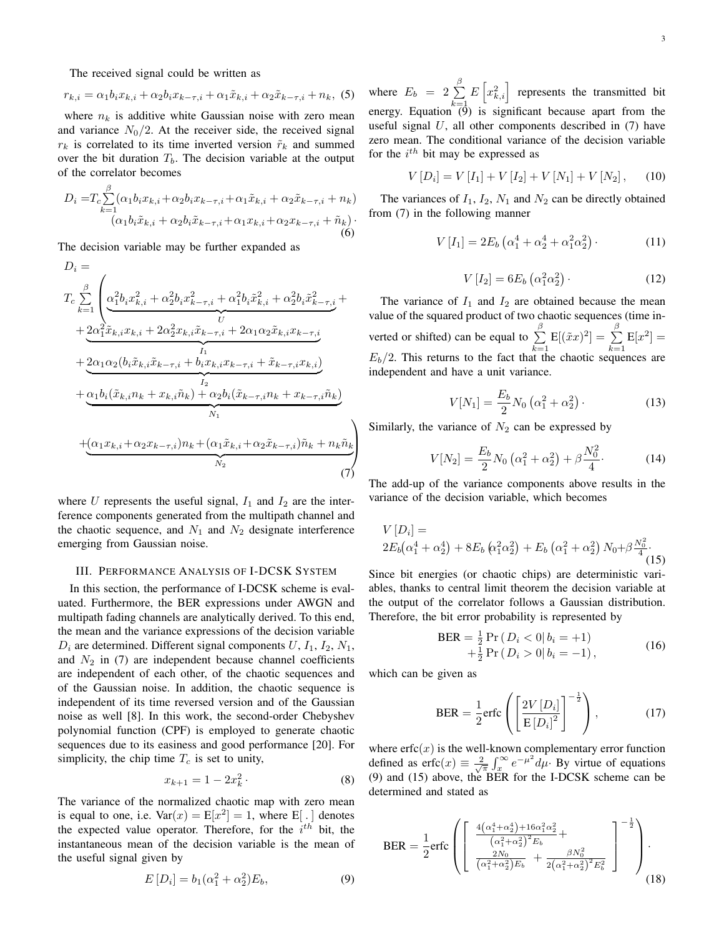The received signal could be written as

$$
r_{k,i} = \alpha_1 b_i x_{k,i} + \alpha_2 b_i x_{k-\tau,i} + \alpha_1 \tilde{x}_{k,i} + \alpha_2 \tilde{x}_{k-\tau,i} + n_k, (5)
$$

where  $n_k$  is additive white Gaussian noise with zero mean and variance  $N_0/2$ . At the receiver side, the received signal  $r_k$  is correlated to its time inverted version  $\tilde{r}_k$  and summed over the bit duration  $T<sub>b</sub>$ . The decision variable at the output of the correlator becomes

$$
D_{i} = T_{c} \sum_{k=1}^{\beta} (\alpha_{1} b_{i} x_{k,i} + \alpha_{2} b_{i} x_{k-\tau,i} + \alpha_{1} \tilde{x}_{k,i} + \alpha_{2} \tilde{x}_{k-\tau,i} + n_{k})
$$
  

$$
(\alpha_{1} b_{i} \tilde{x}_{k,i} + \alpha_{2} b_{i} \tilde{x}_{k-\tau,i} + \alpha_{1} x_{k,i} + \alpha_{2} x_{k-\tau,i} + \tilde{n}_{k})
$$
  
(6)

The decision variable may be further expanded as

$$
D_{i} =
$$
\n
$$
T_{c} \sum_{k=1}^{\beta} \left( \alpha_{1}^{2} b_{i} x_{k,i}^{2} + \alpha_{2}^{2} b_{i} x_{k-\tau,i}^{2} + \alpha_{1}^{2} b_{i} \tilde{x}_{k,i}^{2} + \alpha_{2}^{2} b_{i} \tilde{x}_{k-\tau,i}^{2} + \frac{1}{2} \alpha_{1}^{2} \tilde{x}_{k,i} x_{k,i} + 2 \alpha_{2}^{2} x_{k,i} \tilde{x}_{k-\tau,i} + 2 \alpha_{1} \alpha_{2} \tilde{x}_{k,i} x_{k-\tau,i} + \frac{1}{2} \alpha_{1} \alpha_{2} (b_{i} \tilde{x}_{k,i} \tilde{x}_{k-\tau,i} + b_{i} x_{k,i} x_{k-\tau,i} + \tilde{x}_{k-\tau,i} x_{k,i}) + \frac{1}{2} \alpha_{1} b_{i} (\tilde{x}_{k,i} n_{k} + x_{k,i} \tilde{n}_{k}) + \alpha_{2} b_{i} (\tilde{x}_{k-\tau,i} n_{k} + x_{k-\tau,i} \tilde{n}_{k}) + \frac{1}{2} \alpha_{1} x_{k,i} + \alpha_{2} x_{k-\tau,i} n_{k} + (\alpha_{1} \tilde{x}_{k,i} + \alpha_{2} \tilde{x}_{k-\tau,i}) \tilde{n}_{k} + n_{k} \tilde{n}_{k} \right)
$$
\n
$$
+ \frac{1}{2} \left( \alpha_{1} x_{k,i} + \alpha_{2} x_{k-\tau,i} + \alpha_{2} x_{k,\tau,i} + \alpha_{2} x_{k-\tau,i} + \alpha_{2} x_{k-\tau,i} + \alpha_{2} x_{k-\tau,i} + \alpha_{2} x_{k-\tau,i} + \alpha_{2} x_{k-\tau,i} + \alpha_{2} x_{k-\tau,i} + \alpha_{2} x_{k-\tau,i} + \alpha_{2} x_{k-\tau,i} + \alpha_{2} x_{k-\tau,i} + \alpha_{2} x_{k-\tau,i} + \alpha_{2} x_{k-\tau,i} + \alpha_{2} x_{k-\tau,i} + \alpha_{2} x_{k-\tau,i} + \alpha_{2} x_{k-\tau,i} + \alpha_{2} x_{k-\tau,i} + \alpha_{2} x_{k-\tau,i} + \alpha_{2} x_{k-\tau,i} + \alpha_{2} x_{k-\tau,i} + \alpha_{2} x_{k-\tau,i} + \alpha_{2
$$

where U represents the useful signal,  $I_1$  and  $I_2$  are the interference components generated from the multipath channel and the chaotic sequence, and  $N_1$  and  $N_2$  designate interference emerging from Gaussian noise.

### III. PERFORMANCE ANALYSIS OF I-DCSK SYSTEM

In this section, the performance of I-DCSK scheme is evaluated. Furthermore, the BER expressions under AWGN and multipath fading channels are analytically derived. To this end, the mean and the variance expressions of the decision variable  $D_i$  are determined. Different signal components  $U, I_1, I_2, N_1$ , and  $N_2$  in (7) are independent because channel coefficients are independent of each other, of the chaotic sequences and of the Gaussian noise. In addition, the chaotic sequence is independent of its time reversed version and of the Gaussian noise as well [8]. In this work, the second-order Chebyshev polynomial function (CPF) is employed to generate chaotic sequences due to its easiness and good performance [20]. For simplicity, the chip time  $T_c$  is set to unity,

$$
x_{k+1} = 1 - 2x_k^2 \t\t(8)
$$

The variance of the normalized chaotic map with zero mean is equal to one, i.e.  $Var(x) = E[x^2] = 1$ , where E[.] denotes the expected value operator. Therefore, for the  $i^{th}$  bit, the instantaneous mean of the decision variable is the mean of the useful signal given by

$$
E[D_i] = b_1(\alpha_1^2 + \alpha_2^2)E_b,
$$
\n(9)

where  $E_b = 2 \sum_{ }^{\beta}$  $k=1$  $E\left[x_{k,i}^2\right]$  represents the transmitted bit energy. Equation  $\sqrt[6]{9}$  is significant because apart from the useful signal  $U$ , all other components described in  $(7)$  have zero mean. The conditional variance of the decision variable for the  $i^{th}$  bit may be expressed as

$$
V[D_i] = V[I_1] + V[I_2] + V[N_1] + V[N_2], \quad (10)
$$

The variances of  $I_1$ ,  $I_2$ ,  $N_1$  and  $N_2$  can be directly obtained from (7) in the following manner

$$
V\left[I_1\right] = 2E_b\left(\alpha_1^4 + \alpha_2^4 + \alpha_1^2 \alpha_2^2\right). \tag{11}
$$

$$
V\left[I_2\right] = 6E_b\left(\alpha_1^2 \alpha_2^2\right). \tag{12}
$$

The variance of  $I_1$  and  $I_2$  are obtained because the mean value of the squared product of two chaotic sequences (time inverted or shifted) can be equal to  $\sum^{\beta}$  $k=1$  $\text{E}[(\tilde{x}x)^2]=\,\sum^{\beta}$  $k=1$  $E[x^2] =$  $E_b/2$ . This returns to the fact that the chaotic sequences are independent and have a unit variance.

$$
V[N_1] = \frac{E_b}{2} N_0 \left( \alpha_1^2 + \alpha_2^2 \right).
$$
 (13)

Similarly, the variance of  $N_2$  can be expressed by

$$
V[N_2] = \frac{E_b}{2} N_0 \left( \alpha_1^2 + \alpha_2^2 \right) + \beta \frac{N_0^2}{4}.
$$
 (14)

The add-up of the variance components above results in the variance of the decision variable, which becomes

$$
V[D_i] = 2E_b(\alpha_1^4 + \alpha_2^4) + 8E_b(\alpha_1^2 \alpha_2^2) + E_b(\alpha_1^2 + \alpha_2^2) N_0 + \beta \frac{N_0^2}{4}.
$$
\n(15)

Since bit energies (or chaotic chips) are deterministic variables, thanks to central limit theorem the decision variable at the output of the correlator follows a Gaussian distribution. Therefore, the bit error probability is represented by

$$
BER = \frac{1}{2} Pr (D_i < 0 | b_i = +1) + \frac{1}{2} Pr (D_i > 0 | b_i = -1), \tag{16}
$$

which can be given as

$$
\text{BER} = \frac{1}{2} \text{erfc}\left(\left[\frac{2V\left[D_i\right]}{\text{E}\left[D_i\right]^2}\right]^{-\frac{1}{2}}\right),\tag{17}
$$

where  $erfc(x)$  is the well-known complementary error function defined as  $erfc(x) \equiv \frac{2}{\sqrt{\pi}} \int_x^{\infty} e^{-\mu^2} d\mu$ . By virtue of equations (9) and (15) above, the BER for the I-DCSK scheme can be determined and stated as

$$
\text{BER} = \frac{1}{2} \text{erfc} \left( \left[ \frac{\frac{4(\alpha_1^4 + \alpha_2^4) + 16\alpha_1^2 \alpha_2^2}{(\alpha_1^2 + \alpha_2^2)^2 E_b} + \frac{\beta N_0^2}{2(\alpha_1^2 + \alpha_2^2)^2 E_b^2}}{\frac{2N_0}{(\alpha_1^2 + \alpha_2^2) E_b} + \frac{\beta N_0^2}{2(\alpha_1^2 + \alpha_2^2)^2 E_b^2}} \right]^{-\frac{1}{2}} \right). \tag{18}
$$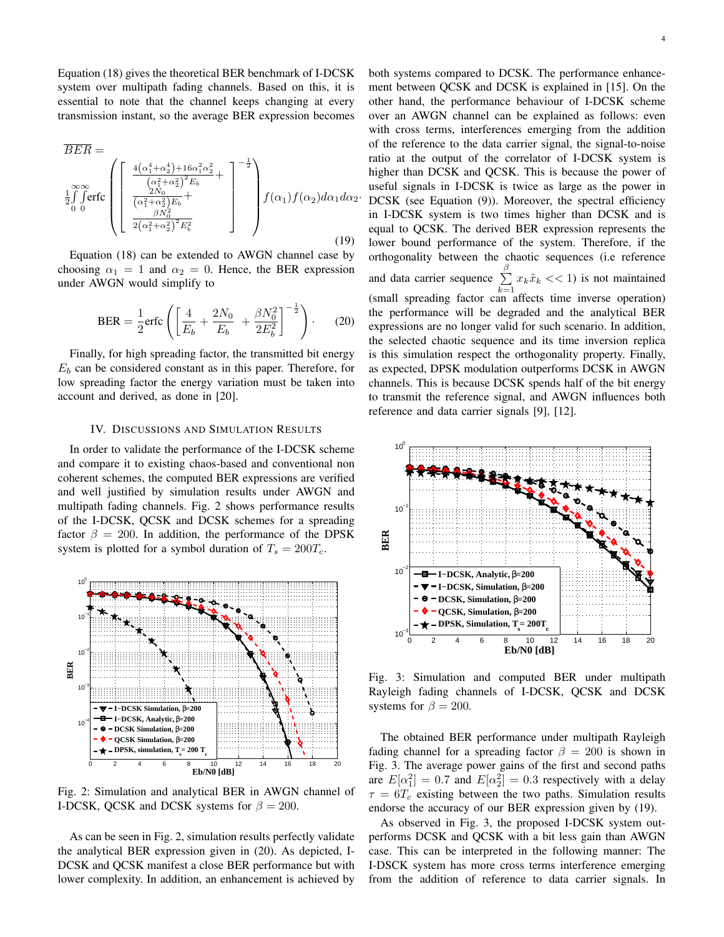Equation (18) gives the theoretical BER benchmark of I-DCSK system over multipath fading channels. Based on this, it is essential to note that the channel keeps changing at every transmission instant, so the average BER expression becomes

$$
\overline{BER} = \n\frac{1}{2} \int_{0}^{\infty} \text{erfc}\n\left(\n\begin{bmatrix}\n\frac{4(\alpha_{1}^{4} + \alpha_{2}^{4}) + 16\alpha_{1}^{2}\alpha_{2}^{2}}{(\alpha_{1}^{2} + \alpha_{2}^{2})^{2}E_{b}} + \frac{1}{2} \int_{0}^{-\frac{1}{2}} (\alpha_{1}^{2} + \alpha_{2}^{2})E_{b} + \frac{\beta N_{0}^{2}}{2(\alpha_{1}^{2} + \alpha_{2}^{2})^{2}E_{b}^{2}}\n\end{bmatrix}\n\right) f(\alpha_{1}) f(\alpha_{2}) d\alpha_{1} d\alpha_{2}.
$$
\n(19)

Equation (18) can be extended to AWGN channel case by choosing  $\alpha_1 = 1$  and  $\alpha_2 = 0$ . Hence, the BER expression under AWGN would simplify to

$$
\text{BER} = \frac{1}{2} \text{erfc} \left( \left[ \frac{4}{E_b} + \frac{2N_0}{E_b} + \frac{\beta N_0^2}{2E_b^2} \right]^{-\frac{1}{2}} \right). \tag{20}
$$

Finally, for high spreading factor, the transmitted bit energy  $E<sub>b</sub>$  can be considered constant as in this paper. Therefore, for low spreading factor the energy variation must be taken into account and derived, as done in [20].

# IV. DISCUSSIONS AND SIMULATION RESULTS

In order to validate the performance of the I-DCSK scheme and compare it to existing chaos-based and conventional non coherent schemes, the computed BER expressions are verified and well justified by simulation results under AWGN and multipath fading channels. Fig. 2 shows performance results of the I-DCSK, QCSK and DCSK schemes for a spreading factor  $\beta = 200$ . In addition, the performance of the DPSK system is plotted for a symbol duration of  $T_s = 200T_c$ .



Fig. 2: Simulation and analytical BER in AWGN channel of I-DCSK, QCSK and DCSK systems for  $\beta = 200$ .

As can be seen in Fig. 2, simulation results perfectly validate the analytical BER expression given in (20). As depicted, I-DCSK and QCSK manifest a close BER performance but with lower complexity. In addition, an enhancement is achieved by both systems compared to DCSK. The performance enhancement between QCSK and DCSK is explained in [15]. On the other hand, the performance behaviour of I-DCSK scheme over an AWGN channel can be explained as follows: even with cross terms, interferences emerging from the addition of the reference to the data carrier signal, the signal-to-noise ratio at the output of the correlator of I-DCSK system is higher than DCSK and QCSK. This is because the power of useful signals in I-DCSK is twice as large as the power in DCSK (see Equation (9)). Moreover, the spectral efficiency in I-DCSK system is two times higher than DCSK and is equal to QCSK. The derived BER expression represents the lower bound performance of the system. Therefore, if the orthogonality between the chaotic sequences (i.e reference and data carrier sequence  $\sum_{ }^{\beta}$  $\sum_{k=1} x_k \tilde{x}_k \ll 1$ ) is not maintained (small spreading factor can affects time inverse operation) the performance will be degraded and the analytical BER expressions are no longer valid for such scenario. In addition, the selected chaotic sequence and its time inversion replica is this simulation respect the orthogonality property. Finally, as expected, DPSK modulation outperforms DCSK in AWGN channels. This is because DCSK spends half of the bit energy to transmit the reference signal, and AWGN influences both reference and data carrier signals [9], [12].



Fig. 3: Simulation and computed BER under multipath Rayleigh fading channels of I-DCSK, QCSK and DCSK systems for  $\beta = 200$ .

The obtained BER performance under multipath Rayleigh fading channel for a spreading factor  $\beta = 200$  is shown in Fig. 3. The average power gains of the first and second paths are  $E[\alpha_1^2] = 0.7$  and  $E[\alpha_2^2] = 0.3$  respectively with a delay  $\tau = 6T_c$  existing between the two paths. Simulation results endorse the accuracy of our BER expression given by (19).

As observed in Fig. 3, the proposed I-DCSK system outperforms DCSK and QCSK with a bit less gain than AWGN case. This can be interpreted in the following manner: The I-DSCK system has more cross terms interference emerging from the addition of reference to data carrier signals. In